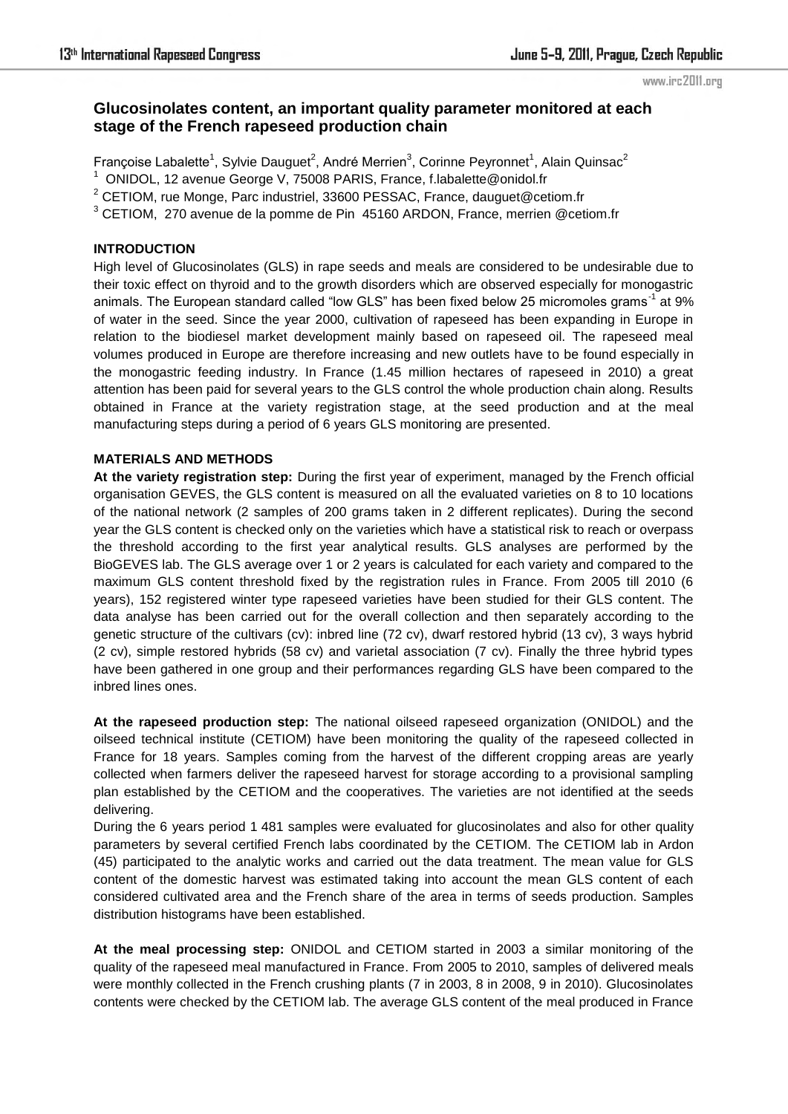#### www.irc2011.org

# **Glucosinolates content, an important quality parameter monitored at each stage of the French rapeseed production chain**

Françoise Labalette<sup>1</sup>, Sylvie Dauguet<sup>2</sup>, André Merrien<sup>3</sup>, Corinne Peyronnet<sup>1</sup>, Alain Quinsac<sup>2</sup>

<sup>1</sup> ONIDOL, 12 avenue George V, 75008 PARIS, France, f.labalette@onidol.fr

 $2$  CETIOM, rue Monge, Parc industriel, 33600 PESSAC, France, dauguet@cetiom.fr

 $3$  CETIOM, 270 avenue de la pomme de Pin 45160 ARDON, France, merrien @cetiom.fr

### **INTRODUCTION**

High level of Glucosinolates (GLS) in rape seeds and meals are considered to be undesirable due to their toxic effect on thyroid and to the growth disorders which are observed especially for monogastric animals. The European standard called "low GLS" has been fixed below 25 micromoles grams<sup>-1</sup> at 9% of water in the seed. Since the year 2000, cultivation of rapeseed has been expanding in Europe in relation to the biodiesel market development mainly based on rapeseed oil. The rapeseed meal volumes produced in Europe are therefore increasing and new outlets have to be found especially in the monogastric feeding industry. In France (1.45 million hectares of rapeseed in 2010) a great attention has been paid for several years to the GLS control the whole production chain along. Results obtained in France at the variety registration stage, at the seed production and at the meal manufacturing steps during a period of 6 years GLS monitoring are presented.

## **MATERIALS AND METHODS**

**At the variety registration step:** During the first year of experiment, managed by the French official organisation GEVES, the GLS content is measured on all the evaluated varieties on 8 to 10 locations of the national network (2 samples of 200 grams taken in 2 different replicates). During the second year the GLS content is checked only on the varieties which have a statistical risk to reach or overpass the threshold according to the first year analytical results. GLS analyses are performed by the BioGEVES lab. The GLS average over 1 or 2 years is calculated for each variety and compared to the maximum GLS content threshold fixed by the registration rules in France. From 2005 till 2010 (6 years), 152 registered winter type rapeseed varieties have been studied for their GLS content. The data analyse has been carried out for the overall collection and then separately according to the genetic structure of the cultivars (cv): inbred line (72 cv), dwarf restored hybrid (13 cv), 3 ways hybrid (2 cv), simple restored hybrids (58 cv) and varietal association (7 cv). Finally the three hybrid types have been gathered in one group and their performances regarding GLS have been compared to the inbred lines ones.

**At the rapeseed production step:** The national oilseed rapeseed organization (ONIDOL) and the oilseed technical institute (CETIOM) have been monitoring the quality of the rapeseed collected in France for 18 years. Samples coming from the harvest of the different cropping areas are yearly collected when farmers deliver the rapeseed harvest for storage according to a provisional sampling plan established by the CETIOM and the cooperatives. The varieties are not identified at the seeds delivering.

During the 6 years period 1 481 samples were evaluated for glucosinolates and also for other quality parameters by several certified French labs coordinated by the CETIOM. The CETIOM lab in Ardon (45) participated to the analytic works and carried out the data treatment. The mean value for GLS content of the domestic harvest was estimated taking into account the mean GLS content of each considered cultivated area and the French share of the area in terms of seeds production. Samples distribution histograms have been established.

**At the meal processing step:** ONIDOL and CETIOM started in 2003 a similar monitoring of the quality of the rapeseed meal manufactured in France. From 2005 to 2010, samples of delivered meals were monthly collected in the French crushing plants (7 in 2003, 8 in 2008, 9 in 2010). Glucosinolates contents were checked by the CETIOM lab. The average GLS content of the meal produced in France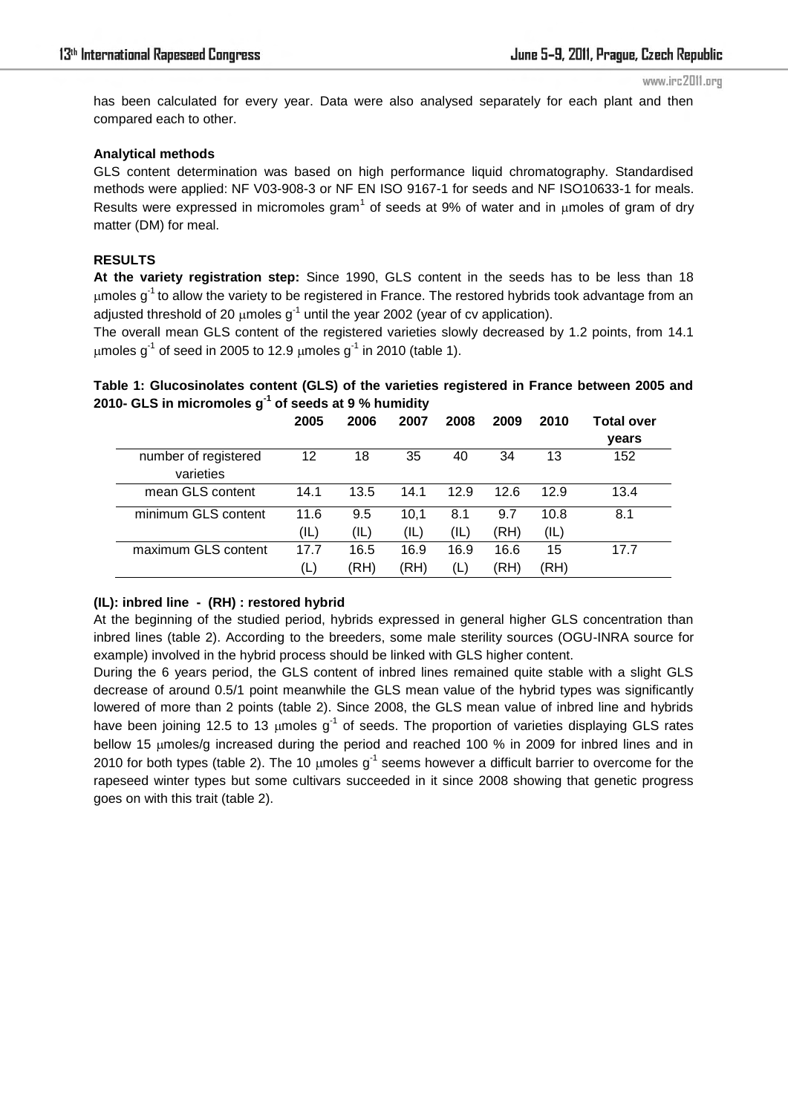has been calculated for every year. Data were also analysed separately for each plant and then compared each to other.

#### **Analytical methods**

GLS content determination was based on high performance liquid chromatography. Standardised methods were applied: NF V03-908-3 or NF EN ISO 9167-1 for seeds and NF ISO10633-1 for meals. Results were expressed in micromoles gram<sup>1</sup> of seeds at 9% of water and in  $\mu$ moles of gram of dry matter (DM) for meal.

### **RESULTS**

**At the variety registration step:** Since 1990, GLS content in the seeds has to be less than 18  $\mu$ moles g<sup>-1</sup> to allow the variety to be registered in France. The restored hybrids took advantage from an adjusted threshold of 20  $\mu$ moles  $q^{-1}$  until the year 2002 (year of cy application).

The overall mean GLS content of the registered varieties slowly decreased by 1.2 points, from 14.1 umoles  $a^{-1}$  of seed in 2005 to 12.9 umoles  $a^{-1}$  in 2010 (table 1).

## **Table 1: Glucosinolates content (GLS) of the varieties registered in France between 2005 and 2010- GLS in micromoles g-1 of seeds at 9 % humidity**

|                      | 2005 | 2006 | 2007 | 2008 | 2009 | 2010 | <b>Total over</b><br>years |
|----------------------|------|------|------|------|------|------|----------------------------|
| number of registered | 12   | 18   | 35   | 40   | 34   | 13   | 152                        |
| varieties            |      |      |      |      |      |      |                            |
| mean GLS content     | 14.1 | 13.5 | 14.1 | 12.9 | 12.6 | 12.9 | 13.4                       |
| minimum GLS content  | 11.6 | 9.5  | 10.1 | 8.1  | 9.7  | 10.8 | 8.1                        |
|                      | (IL) | (IL) | (IL) | (IL) | (RH) | (IL) |                            |
| maximum GLS content  | 17.7 | 16.5 | 16.9 | 16.9 | 16.6 | 15   | 17.7                       |
|                      | (L)  | (RH) | (RH) | (L)  | (RH) | (RH) |                            |

## **(IL): inbred line - (RH) : restored hybrid**

At the beginning of the studied period, hybrids expressed in general higher GLS concentration than inbred lines (table 2). According to the breeders, some male sterility sources (OGU-INRA source for example) involved in the hybrid process should be linked with GLS higher content.

During the 6 years period, the GLS content of inbred lines remained quite stable with a slight GLS decrease of around 0.5/1 point meanwhile the GLS mean value of the hybrid types was significantly lowered of more than 2 points (table 2). Since 2008, the GLS mean value of inbred line and hybrids have been joining 12.5 to 13  $\mu$ moles g<sup>-1</sup> of seeds. The proportion of varieties displaying GLS rates bellow 15  $\mu$ moles/g increased during the period and reached 100 % in 2009 for inbred lines and in 2010 for both types (table 2). The 10 umoles  $q^{-1}$  seems however a difficult barrier to overcome for the rapeseed winter types but some cultivars succeeded in it since 2008 showing that genetic progress goes on with this trait (table 2).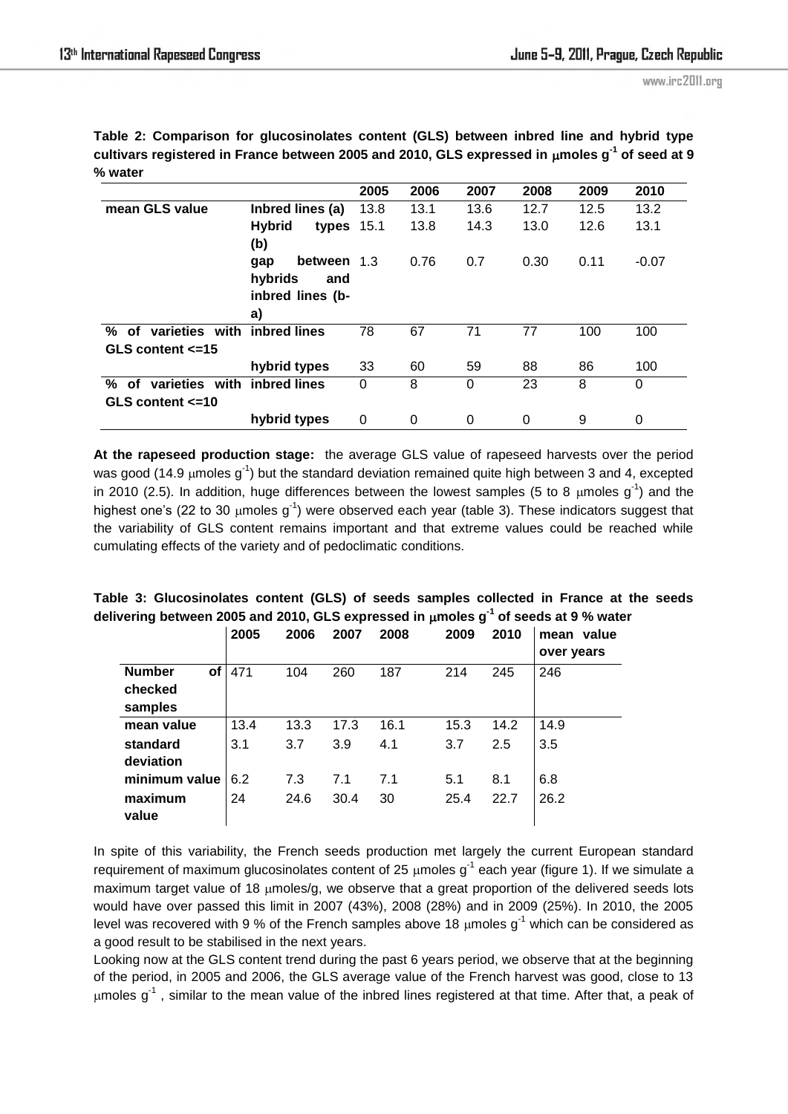|                                                                  |                                                            | 2005 | 2006 | 2007 | 2008 | 2009 | 2010    |
|------------------------------------------------------------------|------------------------------------------------------------|------|------|------|------|------|---------|
| mean GLS value                                                   | Inbred lines (a)                                           | 13.8 | 13.1 | 13.6 | 12.7 | 12.5 | 13.2    |
|                                                                  | <b>Hybrid</b><br>types $15.1$<br>(b)                       |      | 13.8 | 14.3 | 13.0 | 12.6 | 13.1    |
|                                                                  | between<br>gap<br>hybrids<br>and<br>inbred lines (b-<br>a) | -1.3 | 0.76 | 0.7  | 0.30 | 0.11 | $-0.07$ |
| varieties with inbred lines<br>% of<br>GLS content $\leq$ =15    |                                                            | 78   | 67   | 71   | 77   | 100  | 100     |
|                                                                  | hybrid types                                               | 33   | 60   | 59   | 88   | 86   | 100     |
| varieties with inbred lines<br>%<br>of<br>GLS content $\leq$ =10 |                                                            | 0    | 8    | 0    | 23   | 8    | 0       |
|                                                                  | hybrid types                                               | 0    | 0    | 0    | 0    | 9    | 0       |

**Table 2: Comparison for glucosinolates content (GLS) between inbred line and hybrid type cultivars registered in France between 2005 and 2010, GLS expressed in moles g-1 of seed at 9 % water** 

**At the rapeseed production stage:** the average GLS value of rapeseed harvests over the period was good (14.9  $\mu$ moles g<sup>-1</sup>) but the standard deviation remained quite high between 3 and 4, excepted in 2010 (2.5). In addition, huge differences between the lowest samples (5 to 8  $\mu$ moles g<sup>-1</sup>) and the highest one's (22 to 30  $\mu$ moles g<sup>-1</sup>) were observed each year (table 3). These indicators suggest that the variability of GLS content remains important and that extreme values could be reached while cumulating effects of the variety and of pedoclimatic conditions.

| Table 3: Glucosinolates content (GLS) of seeds samples collected in France at the seeds              |  |  |  |  |
|------------------------------------------------------------------------------------------------------|--|--|--|--|
| delivering between 2005 and 2010, GLS expressed in $\mu$ moles g <sup>-1</sup> of seeds at 9 % water |  |  |  |  |

|                            | 2005 | 2006 | 2007 | 2008 | 2009 | 2010 | value<br>mean<br>over years |
|----------------------------|------|------|------|------|------|------|-----------------------------|
| <b>Number</b><br><b>of</b> | 471  | 104  | 260  | 187  | 214  | 245  | 246                         |
| checked                    |      |      |      |      |      |      |                             |
| samples                    |      |      |      |      |      |      |                             |
| mean value                 | 13.4 | 13.3 | 17.3 | 16.1 | 15.3 | 14.2 | 14.9                        |
| standard                   | 3.1  | 3.7  | 3.9  | 4.1  | 3.7  | 2.5  | 3.5                         |
| deviation                  |      |      |      |      |      |      |                             |
| minimum value              | 6.2  | 7.3  | 7.1  | 7.1  | 5.1  | 8.1  | 6.8                         |
| maximum                    | 24   | 24.6 | 30.4 | 30   | 25.4 | 22.7 | 26.2                        |
| value                      |      |      |      |      |      |      |                             |

In spite of this variability, the French seeds production met largely the current European standard requirement of maximum glucosinolates content of 25  $\mu$ moles g<sup>-1</sup> each year (figure 1). If we simulate a maximum target value of 18  $\mu$ moles/g, we observe that a great proportion of the delivered seeds lots would have over passed this limit in 2007 (43%), 2008 (28%) and in 2009 (25%). In 2010, the 2005 level was recovered with 9 % of the French samples above 18  $\mu$ moles g<sup>-1</sup> which can be considered as a good result to be stabilised in the next years.

Looking now at the GLS content trend during the past 6 years period, we observe that at the beginning of the period, in 2005 and 2006, the GLS average value of the French harvest was good, close to 13  $\mu$ moles g<sup>-1</sup>, similar to the mean value of the inbred lines registered at that time. After that, a peak of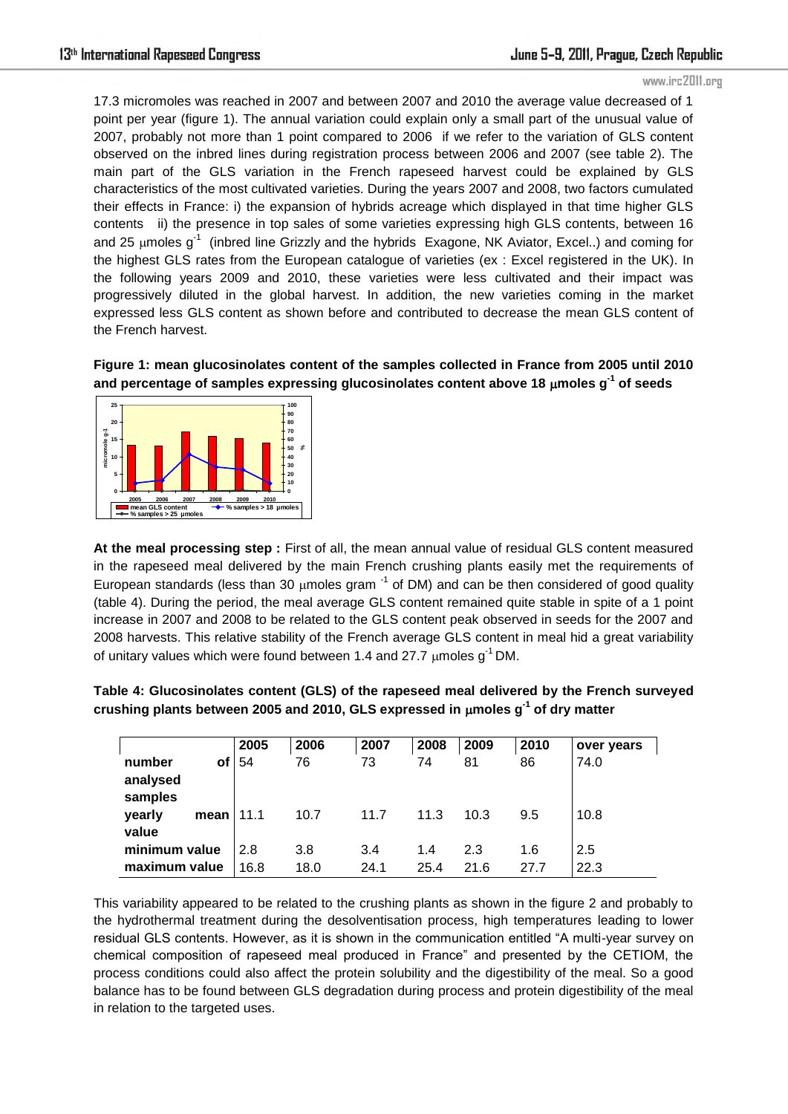#### www.irc2011.org

17.3 micromoles was reached in 2007 and between 2007 and 2010 the average value decreased of 1 point per year (figure 1). The annual variation could explain only a small part of the unusual value of 2007, probably not more than 1 point compared to 2006 if we refer to the variation of GLS content observed on the inbred lines during registration process between 2006 and 2007 (see table 2). The main part of the GLS variation in the French rapeseed harvest could be explained by GLS characteristics of the most cultivated varieties. During the years 2007 and 2008, two factors cumulated their effects in France: i) the expansion of hybrids acreage which displayed in that time higher GLS contents ii) the presence in top sales of some varieties expressing high GLS contents, between 16 and 25 µmoles  $g^{-1}$  (inbred line Grizzly and the hybrids Exagone, NK Aviator, Excel..) and coming for the highest GLS rates from the European catalogue of varieties (ex : Excel registered in the UK). In the following years 2009 and 2010, these varieties were less cultivated and their impact was progressively diluted in the global harvest. In addition, the new varieties coming in the market expressed less GLS content as shown before and contributed to decrease the mean GLS content of the French harvest.

**Figure 1: mean glucosinolates content of the samples collected in France from 2005 until 2010 and percentage of samples expressing glucosinolates content above 18 moles g-1 of seeds** 



**At the meal processing step :** First of all, the mean annual value of residual GLS content measured in the rapeseed meal delivered by the main French crushing plants easily met the requirements of European standards (less than 30  $\mu$ moles gram  $^{-1}$  of DM) and can be then considered of good quality (table 4). During the period, the meal average GLS content remained quite stable in spite of a 1 point increase in 2007 and 2008 to be related to the GLS content peak observed in seeds for the 2007 and 2008 harvests. This relative stability of the French average GLS content in meal hid a great variability of unitary values which were found between 1.4 and 27.7  $\mu$ moles g<sup>-1</sup> DM.

|                               |      | 2005 | 2006 | 2007 | 2008 | 2009 | 2010 | over years |
|-------------------------------|------|------|------|------|------|------|------|------------|
| number<br>analysed<br>samples | οf   | 54   | 76   | 73   | 74   | 81   | 86   | 74.0       |
| yearly<br>value               | mean | 11.1 | 10.7 | 11.7 | 11.3 | 10.3 | 9.5  | 10.8       |
| minimum value                 |      | 2.8  | 3.8  | 3.4  | 1.4  | 2.3  | 1.6  | 2.5        |
| maximum value                 |      | 16.8 | 18.0 | 24.1 | 25.4 | 21.6 | 27.7 | 22.3       |

**Table 4: Glucosinolates content (GLS) of the rapeseed meal delivered by the French surveyed crushing plants between 2005 and 2010, GLS expressed in moles g-1 of dry matter** 

This variability appeared to be related to the crushing plants as shown in the figure 2 and probably to the hydrothermal treatment during the desolventisation process, high temperatures leading to lower residual GLS contents. However, as it is shown in the communication entitled "A multi-year survey on chemical composition of rapeseed meal produced in France" and presented by the CETIOM, the process conditions could also affect the protein solubility and the digestibility of the meal. So a good balance has to be found between GLS degradation during process and protein digestibility of the meal in relation to the targeted uses.